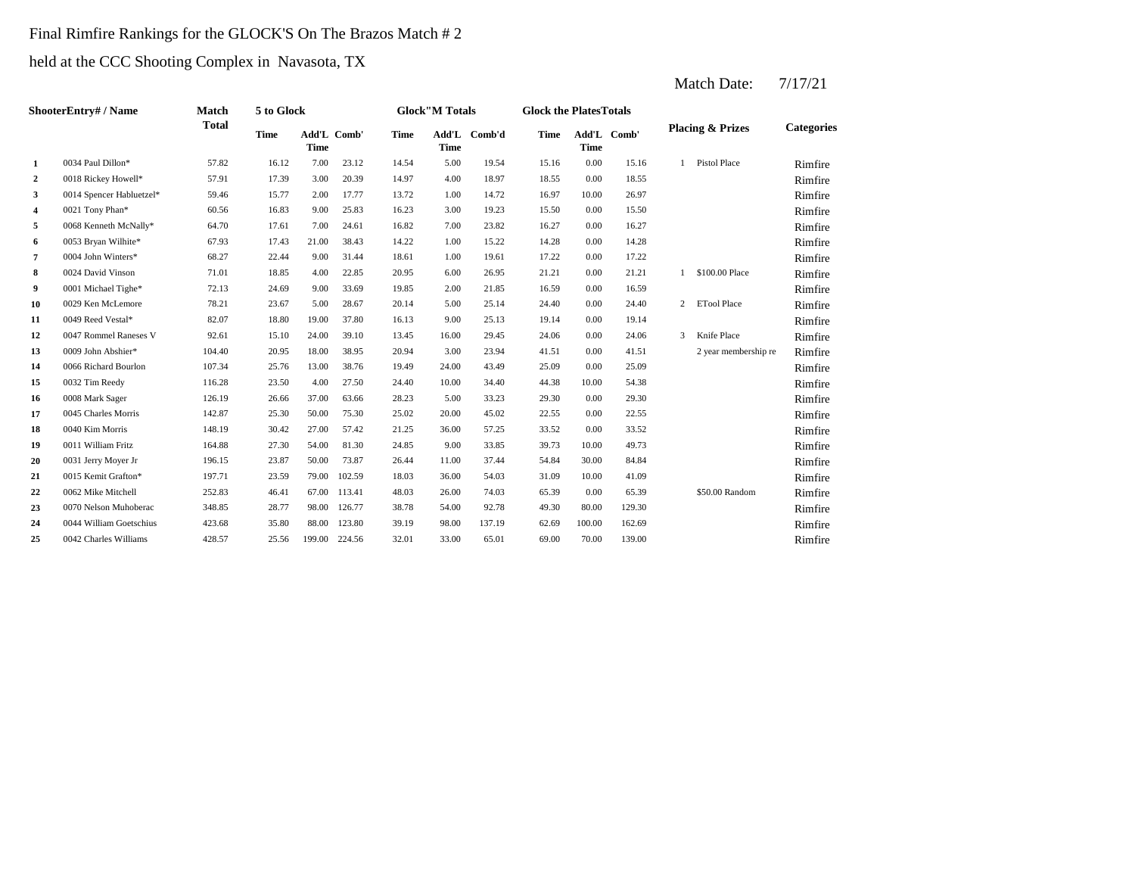# Final Rimfire Rankings for the GLOCK'S On The Brazos Match # 2

held at the CCC Shooting Complex in Navasota, TX

| <b>ShooterEntry#/Name</b> | <b>Match</b>             | 5 to Glock   |             |                            |        | <b>Glock</b> "M Totals |             | <b>Glock the PlatesTotals</b> |       |             |             |   |                             |                   |
|---------------------------|--------------------------|--------------|-------------|----------------------------|--------|------------------------|-------------|-------------------------------|-------|-------------|-------------|---|-----------------------------|-------------------|
|                           |                          | <b>Total</b> | <b>Time</b> | Add'L Comb'<br><b>Time</b> |        | Time                   | <b>Time</b> | Add'L Comb'd                  | Time  | <b>Time</b> | Add'L Comb' |   | <b>Placing &amp; Prizes</b> | <b>Categories</b> |
| 1                         | 0034 Paul Dillon*        | 57.82        | 16.12       | 7.00                       | 23.12  | 14.54                  | 5.00        | 19.54                         | 15.16 | 0.00        | 15.16       |   | Pistol Place                | Rimfire           |
| $\overline{2}$            | 0018 Rickey Howell*      | 57.91        | 17.39       | 3.00                       | 20.39  | 14.97                  | 4.00        | 18.97                         | 18.55 | 0.00        | 18.55       |   |                             | Rimfire           |
| 3                         | 0014 Spencer Habluetzel* | 59.46        | 15.77       | 2.00                       | 17.77  | 13.72                  | 1.00        | 14.72                         | 16.97 | 10.00       | 26.97       |   |                             | Rimfire           |
| 4                         | 0021 Tony Phan*          | 60.56        | 16.83       | 9.00                       | 25.83  | 16.23                  | 3.00        | 19.23                         | 15.50 | 0.00        | 15.50       |   |                             | Rimfire           |
| 5                         | 0068 Kenneth McNally*    | 64.70        | 17.61       | 7.00                       | 24.61  | 16.82                  | 7.00        | 23.82                         | 16.27 | 0.00        | 16.27       |   |                             | Rimfire           |
| 6                         | 0053 Bryan Wilhite*      | 67.93        | 17.43       | 21.00                      | 38.43  | 14.22                  | 1.00        | 15.22                         | 14.28 | 0.00        | 14.28       |   |                             | Rimfire           |
| 7                         | 0004 John Winters*       | 68.27        | 22.44       | 9.00                       | 31.44  | 18.61                  | 1.00        | 19.61                         | 17.22 | 0.00        | 17.22       |   |                             | Rimfire           |
| 8                         | 0024 David Vinson        | 71.01        | 18.85       | 4.00                       | 22.85  | 20.95                  | 6.00        | 26.95                         | 21.21 | 0.00        | 21.21       | 1 | \$100.00 Place              | Rimfire           |
| 9                         | 0001 Michael Tighe*      | 72.13        | 24.69       | 9.00                       | 33.69  | 19.85                  | 2.00        | 21.85                         | 16.59 | 0.00        | 16.59       |   |                             | Rimfire           |
| 10                        | 0029 Ken McLemore        | 78.21        | 23.67       | 5.00                       | 28.67  | 20.14                  | 5.00        | 25.14                         | 24.40 | 0.00        | 24.40       | 2 | <b>ETool Place</b>          | Rimfire           |
| 11                        | 0049 Reed Vestal*        | 82.07        | 18.80       | 19.00                      | 37.80  | 16.13                  | 9.00        | 25.13                         | 19.14 | 0.00        | 19.14       |   |                             | Rimfire           |
| 12                        | 0047 Rommel Raneses V    | 92.61        | 15.10       | 24.00                      | 39.10  | 13.45                  | 16.00       | 29.45                         | 24.06 | 0.00        | 24.06       | 3 | Knife Place                 | Rimfire           |
| 13                        | 0009 John Abshier*       | 104.40       | 20.95       | 18.00                      | 38.95  | 20.94                  | 3.00        | 23.94                         | 41.51 | 0.00        | 41.51       |   | 2 year membership re        | Rimfire           |
| 14                        | 0066 Richard Bourlon     | 107.34       | 25.76       | 13.00                      | 38.76  | 19.49                  | 24.00       | 43.49                         | 25.09 | 0.00        | 25.09       |   |                             | Rimfire           |
| 15                        | 0032 Tim Reedy           | 116.28       | 23.50       | 4.00                       | 27.50  | 24.40                  | 10.00       | 34.40                         | 44.38 | 10.00       | 54.38       |   |                             | Rimfire           |
| 16                        | 0008 Mark Sager          | 126.19       | 26.66       | 37.00                      | 63.66  | 28.23                  | 5.00        | 33.23                         | 29.30 | 0.00        | 29.30       |   |                             | Rimfire           |
| 17                        | 0045 Charles Morris      | 142.87       | 25.30       | 50.00                      | 75.30  | 25.02                  | 20.00       | 45.02                         | 22.55 | 0.00        | 22.55       |   |                             | Rimfire           |
| 18                        | 0040 Kim Morris          | 148.19       | 30.42       | 27.00                      | 57.42  | 21.25                  | 36.00       | 57.25                         | 33.52 | 0.00        | 33.52       |   |                             | Rimfire           |
| 19                        | 0011 William Fritz       | 164.88       | 27.30       | 54.00                      | 81.30  | 24.85                  | 9.00        | 33.85                         | 39.73 | 10.00       | 49.73       |   |                             | Rimfire           |
| 20                        | 0031 Jerry Moyer Jr      | 196.15       | 23.87       | 50.00                      | 73.87  | 26.44                  | 11.00       | 37.44                         | 54.84 | 30.00       | 84.84       |   |                             | Rimfire           |
| 21                        | 0015 Kemit Grafton*      | 197.71       | 23.59       | 79.00                      | 102.59 | 18.03                  | 36.00       | 54.03                         | 31.09 | 10.00       | 41.09       |   |                             | Rimfire           |
| 22                        | 0062 Mike Mitchell       | 252.83       | 46.41       | 67.00                      | 113.41 | 48.03                  | 26.00       | 74.03                         | 65.39 | 0.00        | 65.39       |   | \$50.00 Random              | Rimfire           |
| 23                        | 0070 Nelson Muhoberac    | 348.85       | 28.77       | 98.00                      | 126.77 | 38.78                  | 54.00       | 92.78                         | 49.30 | 80.00       | 129.30      |   |                             | Rimfire           |
| 24                        | 0044 William Goetschius  | 423.68       | 35.80       | 88.00                      | 123.80 | 39.19                  | 98.00       | 137.19                        | 62.69 | 100.00      | 162.69      |   |                             | Rimfire           |
| 25                        | 0042 Charles Williams    | 428.57       | 25.56       | 199.00                     | 224.56 | 32.01                  | 33.00       | 65.01                         | 69.00 | 70.00       | 139.00      |   |                             | Rimfire           |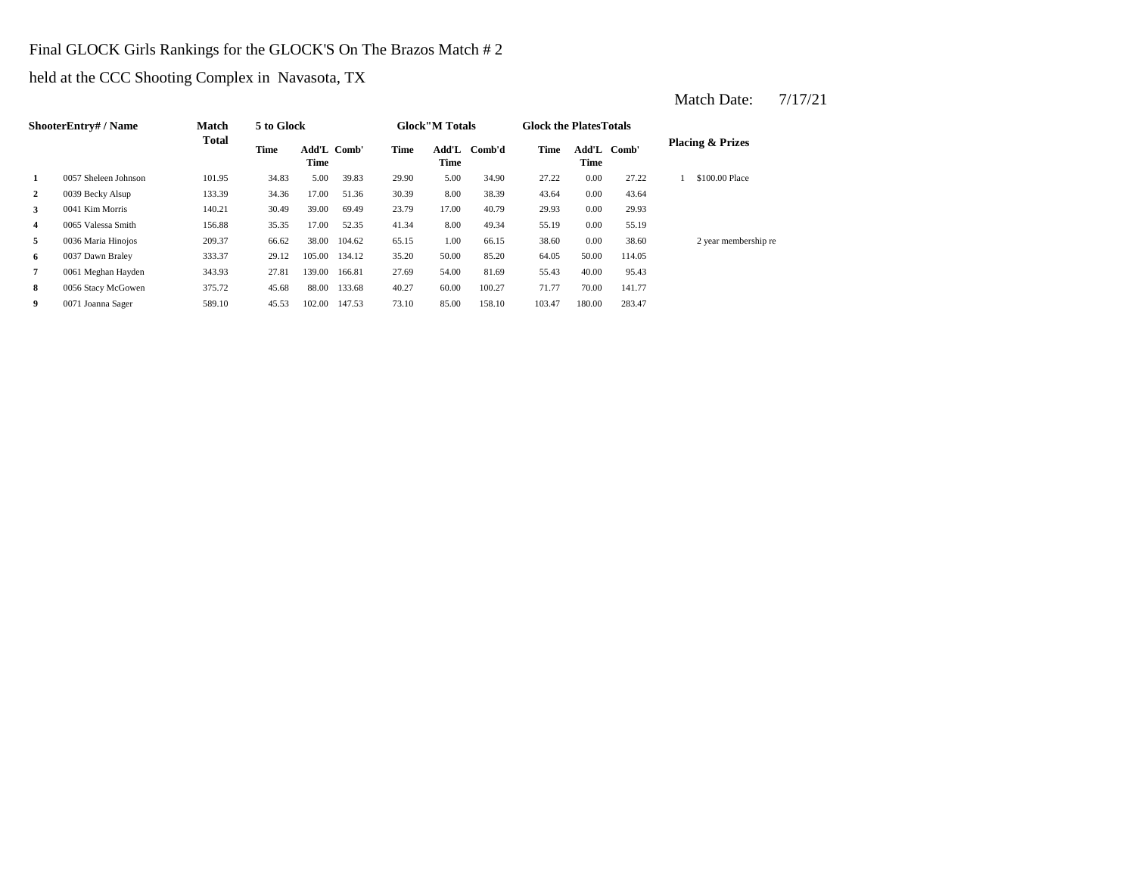Final GLOCK Girls Rankings for the GLOCK'S On The Brazos Match # 2

held at the CCC Shooting Complex in Navasota, TX

**2** 8.00 **28** 8.00 **28.36 17.00 51.36** 30.39 8.00 **38.39** 43.64 **3** 17.00 **40.79** 29.93 **4** 8.00 49.34 **55.19 156.88 35.35 17.00 52.35 41.34** 8.00 49.34 **55.19 5** 0036 Maria Hinojos 209.37 66.62 38.00 104.62 65.15 1.00 66.15 38.60 0.00 **6** 0037 Dawn Braley 333.37 29.12 105.00 134.12 35.20 50.00 85.20 64.05 **7** 0061 Meghan Hayden 343.93 27.81 139.00 166.81 27.69 54.00 81.69 55.43 40.00 95.43 50.00 114.05 38.60 2 year membership re 0.00 55.19 40.79 0.00 29.93 30.39 38.39 0.00 43.64 27.22 0.00 27.22 1 \$100.00 Place **Comb' Comb'd Time Add'L Placing & Prizes Time Add'L 1** 0057 Sheleen Johnson 101.95 34.83 5.00 39.83 29.90 5.00 34.90 Add'L Comb' **Time Add'L Time Time ShooterEntry# / Name Match Total 5 to Glock Time Glock"M Totals Glock the PlatesTotals Time**

**8** 60.00 100.27 11.77 70.00 141.77 **80.00 133.68** 40.27 60.00 100.27 71.77 70.00 141.77 **9** 0071 Joanna Sager 589.10 45.53 102.00 147.53 73.10 85.00 158.10 103.47 180.00 283.47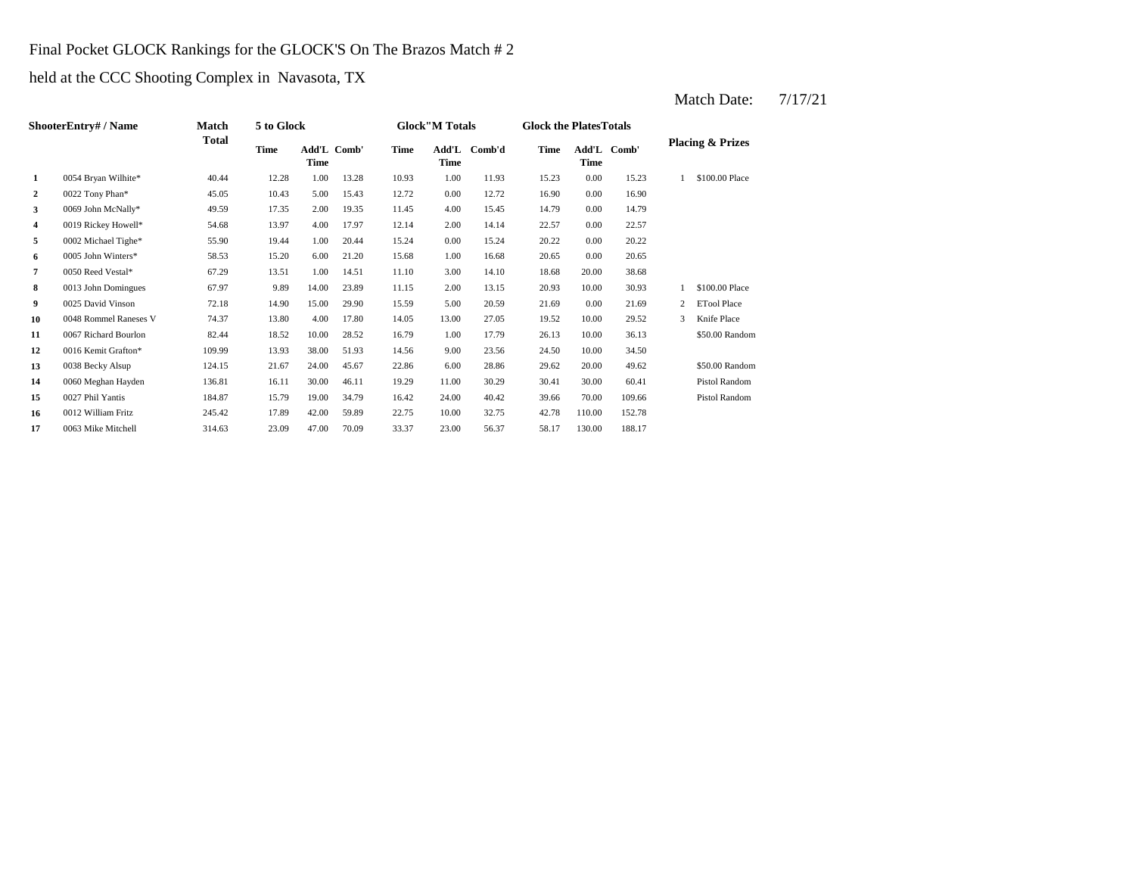# Final Pocket GLOCK Rankings for the GLOCK'S On The Brazos Match # 2

held at the CCC Shooting Complex in Navasota, TX

|                  | <b>ShooterEntry# / Name</b> | Match        | 5 to Glock |       |             |       | <b>Glock"M Totals</b> |        | <b>Glock the PlatesTotals</b> |        |             |   |                             |
|------------------|-----------------------------|--------------|------------|-------|-------------|-------|-----------------------|--------|-------------------------------|--------|-------------|---|-----------------------------|
|                  |                             | <b>Total</b> | Time       | Time  | Add'L Comb' | Time  | Add'L<br>Time         | Comb'd | Time                          | Time   | Add'L Comb' |   | <b>Placing &amp; Prizes</b> |
| 1                | 0054 Bryan Wilhite*         | 40.44        | 12.28      | 1.00  | 13.28       | 10.93 | 1.00                  | 11.93  | 15.23                         | 0.00   | 15.23       |   | \$100.00 Place              |
| $\boldsymbol{2}$ | 0022 Tony Phan*             | 45.05        | 10.43      | 5.00  | 15.43       | 12.72 | 0.00                  | 12.72  | 16.90                         | 0.00   | 16.90       |   |                             |
| 3                | 0069 John McNally*          | 49.59        | 17.35      | 2.00  | 19.35       | 11.45 | 4.00                  | 15.45  | 14.79                         | 0.00   | 14.79       |   |                             |
| 4                | 0019 Rickey Howell*         | 54.68        | 13.97      | 4.00  | 17.97       | 12.14 | 2.00                  | 14.14  | 22.57                         | 0.00   | 22.57       |   |                             |
| 5                | 0002 Michael Tighe*         | 55.90        | 19.44      | 1.00  | 20.44       | 15.24 | 0.00                  | 15.24  | 20.22                         | 0.00   | 20.22       |   |                             |
| 6                | 0005 John Winters*          | 58.53        | 15.20      | 6.00  | 21.20       | 15.68 | 1.00                  | 16.68  | 20.65                         | 0.00   | 20.65       |   |                             |
| 7                | 0050 Reed Vestal*           | 67.29        | 13.51      | 1.00  | 14.51       | 11.10 | 3.00                  | 14.10  | 18.68                         | 20.00  | 38.68       |   |                             |
| 8                | 0013 John Domingues         | 67.97        | 9.89       | 14.00 | 23.89       | 11.15 | 2.00                  | 13.15  | 20.93                         | 10.00  | 30.93       |   | \$100.00 Place              |
| 9                | 0025 David Vinson           | 72.18        | 14.90      | 15.00 | 29.90       | 15.59 | 5.00                  | 20.59  | 21.69                         | 0.00   | 21.69       | 2 | <b>ETool Place</b>          |
| 10               | 0048 Rommel Raneses V       | 74.37        | 13.80      | 4.00  | 17.80       | 14.05 | 13.00                 | 27.05  | 19.52                         | 10.00  | 29.52       | 3 | Knife Place                 |
| 11               | 0067 Richard Bourlon        | 82.44        | 18.52      | 10.00 | 28.52       | 16.79 | 1.00                  | 17.79  | 26.13                         | 10.00  | 36.13       |   | \$50.00 Random              |
| 12               | 0016 Kemit Grafton*         | 109.99       | 13.93      | 38.00 | 51.93       | 14.56 | 9.00                  | 23.56  | 24.50                         | 10.00  | 34.50       |   |                             |
| 13               | 0038 Becky Alsup            | 124.15       | 21.67      | 24.00 | 45.67       | 22.86 | 6.00                  | 28.86  | 29.62                         | 20.00  | 49.62       |   | \$50.00 Random              |
| 14               | 0060 Meghan Hayden          | 136.81       | 16.11      | 30.00 | 46.11       | 19.29 | 11.00                 | 30.29  | 30.41                         | 30.00  | 60.41       |   | Pistol Random               |
| 15               | 0027 Phil Yantis            | 184.87       | 15.79      | 19.00 | 34.79       | 16.42 | 24.00                 | 40.42  | 39.66                         | 70.00  | 109.66      |   | Pistol Random               |
| 16               | 0012 William Fritz          | 245.42       | 17.89      | 42.00 | 59.89       | 22.75 | 10.00                 | 32.75  | 42.78                         | 110.00 | 152.78      |   |                             |
| 17               | 0063 Mike Mitchell          | 314.63       | 23.09      | 47.00 | 70.09       | 33.37 | 23.00                 | 56.37  | 58.17                         | 130.00 | 188.17      |   |                             |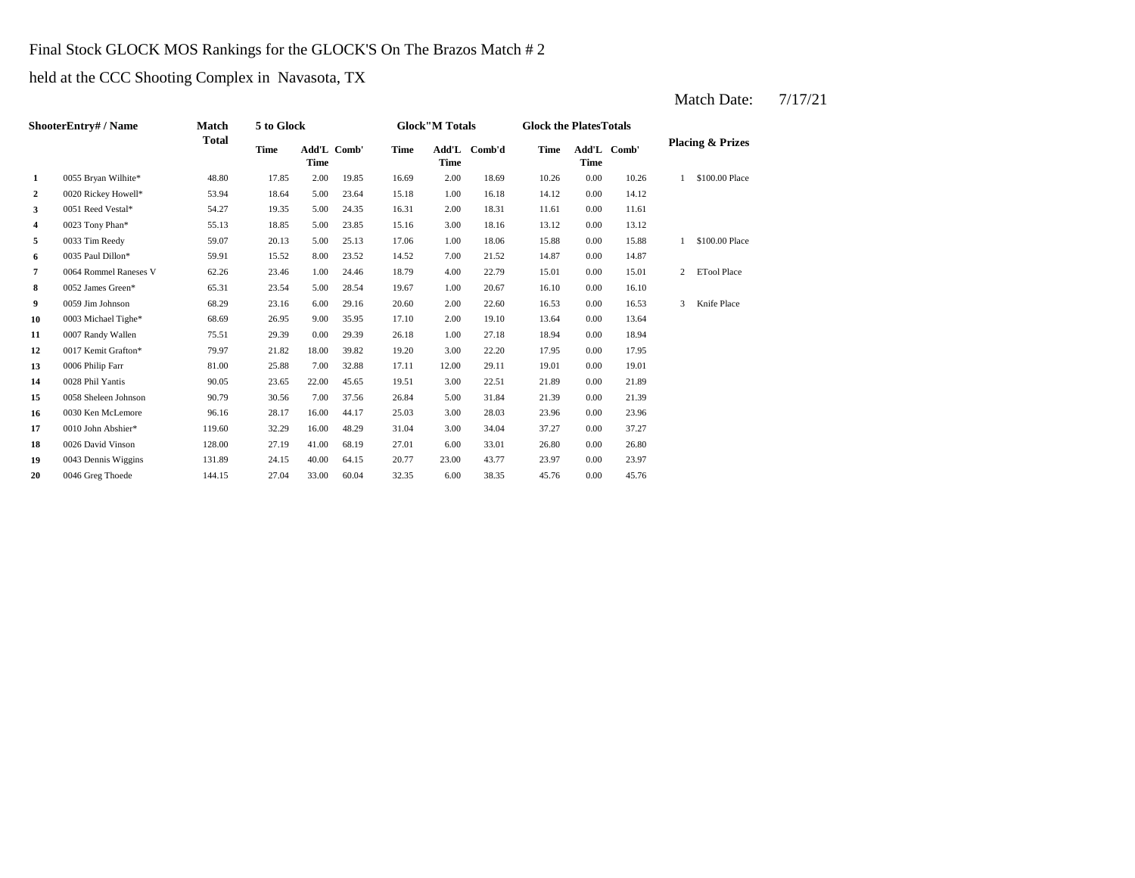# Final Stock GLOCK MOS Rankings for the GLOCK'S On The Brazos Match # 2

held at the CCC Shooting Complex in Navasota, TX

|                  | ShooterEntry# / Name  | <b>Match</b> | 5 to Glock |                            |       |       | <b>Glock</b> "M Totals |              | <b>Glock the Plates Totals</b> |             |             |   |                             |
|------------------|-----------------------|--------------|------------|----------------------------|-------|-------|------------------------|--------------|--------------------------------|-------------|-------------|---|-----------------------------|
|                  |                       | <b>Total</b> | Time       | Add'L Comb'<br><b>Time</b> |       | Time  | <b>Time</b>            | Add'L Comb'd | Time                           | <b>Time</b> | Add'L Comb' |   | <b>Placing &amp; Prizes</b> |
| 1                | 0055 Bryan Wilhite*   | 48.80        | 17.85      | 2.00                       | 19.85 | 16.69 | 2.00                   | 18.69        | 10.26                          | 0.00        | 10.26       |   | \$100.00 Place              |
| $\boldsymbol{2}$ | 0020 Rickey Howell*   | 53.94        | 18.64      | 5.00                       | 23.64 | 15.18 | 1.00                   | 16.18        | 14.12                          | 0.00        | 14.12       |   |                             |
| 3                | 0051 Reed Vestal*     | 54.27        | 19.35      | 5.00                       | 24.35 | 16.31 | 2.00                   | 18.31        | 11.61                          | 0.00        | 11.61       |   |                             |
| 4                | 0023 Tony Phan*       | 55.13        | 18.85      | 5.00                       | 23.85 | 15.16 | 3.00                   | 18.16        | 13.12                          | 0.00        | 13.12       |   |                             |
| 5                | 0033 Tim Reedy        | 59.07        | 20.13      | 5.00                       | 25.13 | 17.06 | 1.00                   | 18.06        | 15.88                          | 0.00        | 15.88       |   | \$100.00 Place              |
| 6                | 0035 Paul Dillon*     | 59.91        | 15.52      | 8.00                       | 23.52 | 14.52 | 7.00                   | 21.52        | 14.87                          | 0.00        | 14.87       |   |                             |
| 7                | 0064 Rommel Raneses V | 62.26        | 23.46      | 1.00                       | 24.46 | 18.79 | 4.00                   | 22.79        | 15.01                          | 0.00        | 15.01       | 2 | <b>ETool Place</b>          |
| 8                | 0052 James Green*     | 65.31        | 23.54      | 5.00                       | 28.54 | 19.67 | 1.00                   | 20.67        | 16.10                          | 0.00        | 16.10       |   |                             |
| 9                | 0059 Jim Johnson      | 68.29        | 23.16      | 6.00                       | 29.16 | 20.60 | 2.00                   | 22.60        | 16.53                          | 0.00        | 16.53       | 3 | Knife Place                 |
| 10               | 0003 Michael Tighe*   | 68.69        | 26.95      | 9.00                       | 35.95 | 17.10 | 2.00                   | 19.10        | 13.64                          | 0.00        | 13.64       |   |                             |
| 11               | 0007 Randy Wallen     | 75.51        | 29.39      | 0.00                       | 29.39 | 26.18 | 1.00                   | 27.18        | 18.94                          | 0.00        | 18.94       |   |                             |
| 12               | 0017 Kemit Grafton*   | 79.97        | 21.82      | 18.00                      | 39.82 | 19.20 | 3.00                   | 22.20        | 17.95                          | 0.00        | 17.95       |   |                             |
| 13               | 0006 Philip Farr      | 81.00        | 25.88      | 7.00                       | 32.88 | 17.11 | 12.00                  | 29.11        | 19.01                          | 0.00        | 19.01       |   |                             |
| 14               | 0028 Phil Yantis      | 90.05        | 23.65      | 22.00                      | 45.65 | 19.51 | 3.00                   | 22.51        | 21.89                          | 0.00        | 21.89       |   |                             |
| 15               | 0058 Sheleen Johnson  | 90.79        | 30.56      | 7.00                       | 37.56 | 26.84 | 5.00                   | 31.84        | 21.39                          | 0.00        | 21.39       |   |                             |
| 16               | 0030 Ken McLemore     | 96.16        | 28.17      | 16.00                      | 44.17 | 25.03 | 3.00                   | 28.03        | 23.96                          | 0.00        | 23.96       |   |                             |
| 17               | 0010 John Abshier*    | 119.60       | 32.29      | 16.00                      | 48.29 | 31.04 | 3.00                   | 34.04        | 37.27                          | 0.00        | 37.27       |   |                             |
| 18               | 0026 David Vinson     | 128.00       | 27.19      | 41.00                      | 68.19 | 27.01 | 6.00                   | 33.01        | 26.80                          | 0.00        | 26.80       |   |                             |
| 19               | 0043 Dennis Wiggins   | 131.89       | 24.15      | 40.00                      | 64.15 | 20.77 | 23.00                  | 43.77        | 23.97                          | 0.00        | 23.97       |   |                             |
| 20               | 0046 Greg Thoede      | 144.15       | 27.04      | 33.00                      | 60.04 | 32.35 | 6.00                   | 38.35        | 45.76                          | 0.00        | 45.76       |   |                             |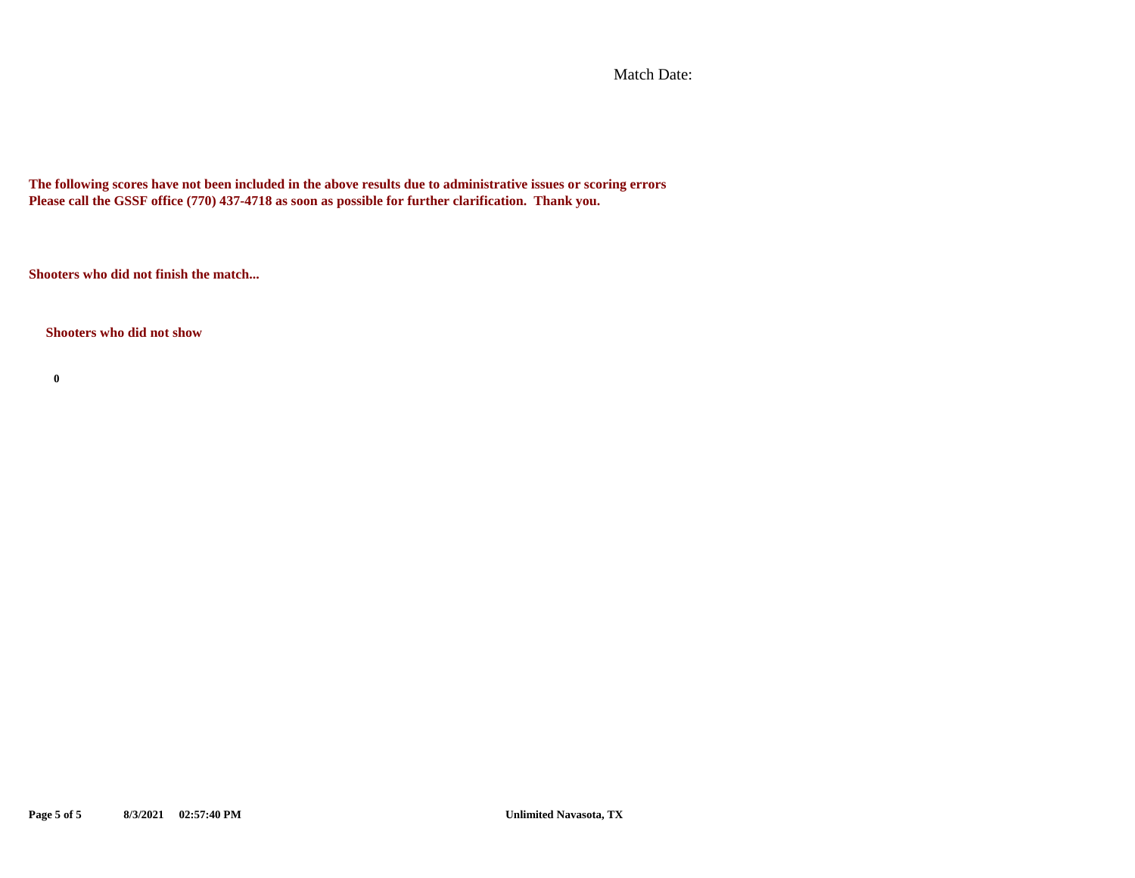Match Date:

**The following scores have not been included in the above results due to administrative issues or scoring errors Please call the GSSF office (770) 437-4718 as soon as possible for further clarification. Thank you.**

**Shooters who did not finish the match...**

#### **Shooters who did not show**

**0**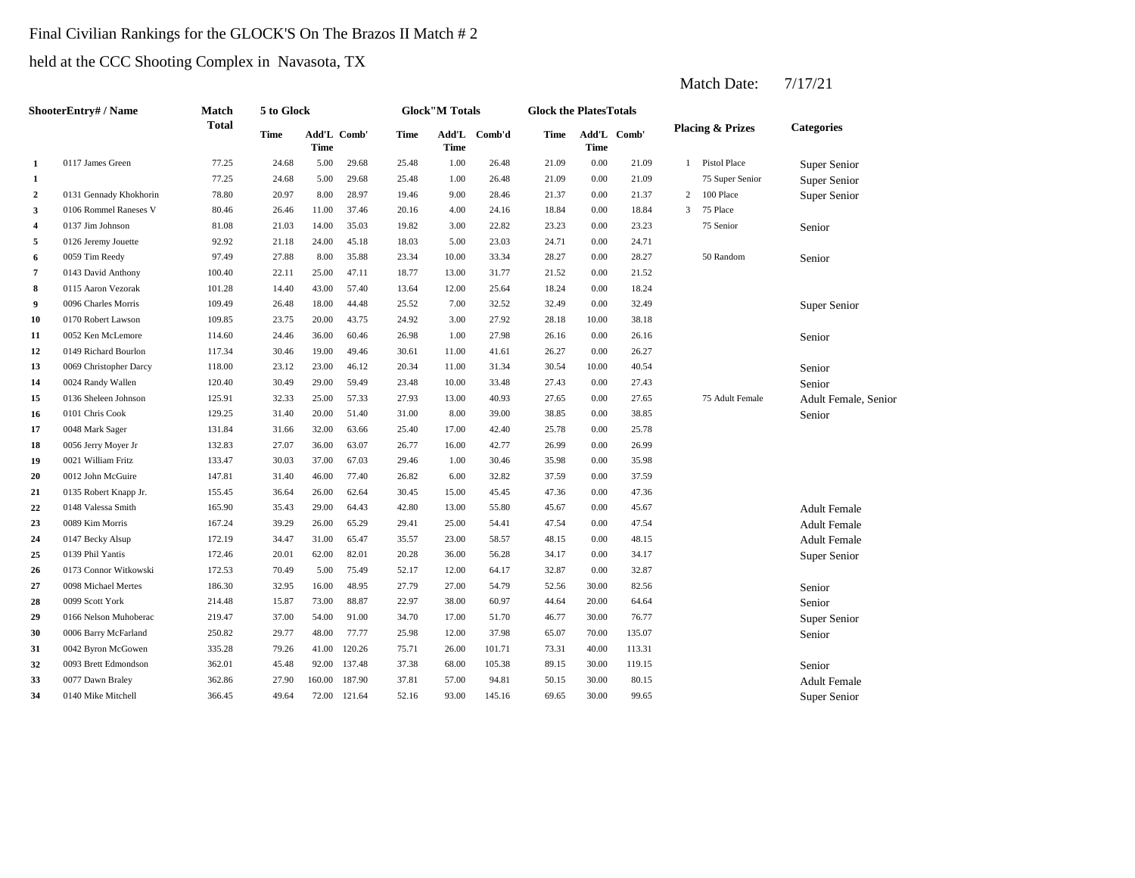# Final Civilian Rankings for the GLOCK'S On The Brazos II Match # 2

# held at the CCC Shooting Complex in Navasota, TX

|                | ShooterEntry# / Name   | <b>Match</b> | 5 to Glock  |        |             |             | <b>Glock</b> "M Totals |        | <b>Glock the PlatesTotals</b> |                            |        |              |                             |                      |
|----------------|------------------------|--------------|-------------|--------|-------------|-------------|------------------------|--------|-------------------------------|----------------------------|--------|--------------|-----------------------------|----------------------|
|                |                        | <b>Total</b> | <b>Time</b> | Time   | Add'L Comb' | <b>Time</b> | Add'L<br>Time          | Comb'd | <b>Time</b>                   | Add'L Comb'<br><b>Time</b> |        |              | <b>Placing &amp; Prizes</b> | <b>Categories</b>    |
| $\mathbf{1}$   | 0117 James Green       | 77.25        | 24.68       | 5.00   | 29.68       | 25.48       | 1.00                   | 26.48  | 21.09                         | 0.00                       | 21.09  | $\mathbf{1}$ | <b>Pistol Place</b>         | Super Senior         |
| 1              |                        | 77.25        | 24.68       | 5.00   | 29.68       | 25.48       | 1.00                   | 26.48  | 21.09                         | 0.00                       | 21.09  |              | 75 Super Senior             | Super Senior         |
| $\overline{a}$ | 0131 Gennady Khokhorin | 78.80        | 20.97       | 8.00   | 28.97       | 19.46       | 9.00                   | 28.46  | 21.37                         | 0.00                       | 21.37  | 2            | 100 Place                   | Super Senior         |
| 3              | 0106 Rommel Raneses V  | 80.46        | 26.46       | 11.00  | 37.46       | 20.16       | 4.00                   | 24.16  | 18.84                         | 0.00                       | 18.84  | 3            | 75 Place                    |                      |
| 4              | 0137 Jim Johnson       | 81.08        | 21.03       | 14.00  | 35.03       | 19.82       | 3.00                   | 22.82  | 23.23                         | 0.00                       | 23.23  |              | 75 Senior                   | Senior               |
| 5              | 0126 Jeremy Jouette    | 92.92        | 21.18       | 24.00  | 45.18       | 18.03       | 5.00                   | 23.03  | 24.71                         | 0.00                       | 24.71  |              |                             |                      |
| 6              | 0059 Tim Reedy         | 97.49        | 27.88       | 8.00   | 35.88       | 23.34       | 10.00                  | 33.34  | 28.27                         | 0.00                       | 28.27  |              | 50 Random                   | Senior               |
| 7              | 0143 David Anthony     | 100.40       | 22.11       | 25.00  | 47.11       | 18.77       | 13.00                  | 31.77  | 21.52                         | 0.00                       | 21.52  |              |                             |                      |
| 8              | 0115 Aaron Vezorak     | 101.28       | 14.40       | 43.00  | 57.40       | 13.64       | 12.00                  | 25.64  | 18.24                         | 0.00                       | 18.24  |              |                             |                      |
| 9              | 0096 Charles Morris    | 109.49       | 26.48       | 18.00  | 44.48       | 25.52       | 7.00                   | 32.52  | 32.49                         | 0.00                       | 32.49  |              |                             | Super Senior         |
| 10             | 0170 Robert Lawson     | 109.85       | 23.75       | 20.00  | 43.75       | 24.92       | 3.00                   | 27.92  | 28.18                         | 10.00                      | 38.18  |              |                             |                      |
| 11             | 0052 Ken McLemore      | 114.60       | 24.46       | 36.00  | 60.46       | 26.98       | 1.00                   | 27.98  | 26.16                         | 0.00                       | 26.16  |              |                             | Senior               |
| 12             | 0149 Richard Bourlon   | 117.34       | 30.46       | 19.00  | 49.46       | 30.61       | 11.00                  | 41.61  | 26.27                         | 0.00                       | 26.27  |              |                             |                      |
| 13             | 0069 Christopher Darcy | 118.00       | 23.12       | 23.00  | 46.12       | 20.34       | 11.00                  | 31.34  | 30.54                         | 10.00                      | 40.54  |              |                             | Senior               |
| 14             | 0024 Randy Wallen      | 120.40       | 30.49       | 29.00  | 59.49       | 23.48       | 10.00                  | 33.48  | 27.43                         | 0.00                       | 27.43  |              |                             | Senior               |
| 15             | 0136 Sheleen Johnson   | 125.91       | 32.33       | 25.00  | 57.33       | 27.93       | 13.00                  | 40.93  | 27.65                         | 0.00                       | 27.65  |              | 75 Adult Female             | Adult Female, Senior |
| 16             | 0101 Chris Cook        | 129.25       | 31.40       | 20.00  | 51.40       | 31.00       | 8.00                   | 39.00  | 38.85                         | 0.00                       | 38.85  |              |                             | Senior               |
| 17             | 0048 Mark Sager        | 131.84       | 31.66       | 32.00  | 63.66       | 25.40       | 17.00                  | 42.40  | 25.78                         | 0.00                       | 25.78  |              |                             |                      |
| 18             | 0056 Jerry Moyer Jr    | 132.83       | 27.07       | 36.00  | 63.07       | 26.77       | 16.00                  | 42.77  | 26.99                         | 0.00                       | 26.99  |              |                             |                      |
| 19             | 0021 William Fritz     | 133.47       | 30.03       | 37.00  | 67.03       | 29.46       | 1.00                   | 30.46  | 35.98                         | 0.00                       | 35.98  |              |                             |                      |
| 20             | 0012 John McGuire      | 147.81       | 31.40       | 46.00  | 77.40       | 26.82       | 6.00                   | 32.82  | 37.59                         | 0.00                       | 37.59  |              |                             |                      |
| 21             | 0135 Robert Knapp Jr.  | 155.45       | 36.64       | 26.00  | 62.64       | 30.45       | 15.00                  | 45.45  | 47.36                         | 0.00                       | 47.36  |              |                             |                      |
| 22             | 0148 Valessa Smith     | 165.90       | 35.43       | 29.00  | 64.43       | 42.80       | 13.00                  | 55.80  | 45.67                         | 0.00                       | 45.67  |              |                             | <b>Adult Female</b>  |
| 23             | 0089 Kim Morris        | 167.24       | 39.29       | 26.00  | 65.29       | 29.41       | 25.00                  | 54.41  | 47.54                         | 0.00                       | 47.54  |              |                             | <b>Adult Female</b>  |
| 24             | 0147 Becky Alsup       | 172.19       | 34.47       | 31.00  | 65.47       | 35.57       | 23.00                  | 58.57  | 48.15                         | 0.00                       | 48.15  |              |                             | <b>Adult Female</b>  |
| 25             | 0139 Phil Yantis       | 172.46       | 20.01       | 62.00  | 82.01       | 20.28       | 36.00                  | 56.28  | 34.17                         | 0.00                       | 34.17  |              |                             | Super Senior         |
| 26             | 0173 Connor Witkowski  | 172.53       | 70.49       | 5.00   | 75.49       | 52.17       | 12.00                  | 64.17  | 32.87                         | 0.00                       | 32.87  |              |                             |                      |
| 27             | 0098 Michael Mertes    | 186.30       | 32.95       | 16.00  | 48.95       | 27.79       | 27.00                  | 54.79  | 52.56                         | 30.00                      | 82.56  |              |                             | Senior               |
| 28             | 0099 Scott York        | 214.48       | 15.87       | 73.00  | 88.87       | 22.97       | 38.00                  | 60.97  | 44.64                         | 20.00                      | 64.64  |              |                             | Senior               |
| 29             | 0166 Nelson Muhoberac  | 219.47       | 37.00       | 54.00  | 91.00       | 34.70       | 17.00                  | 51.70  | 46.77                         | 30.00                      | 76.77  |              |                             | Super Senior         |
| 30             | 0006 Barry McFarland   | 250.82       | 29.77       | 48.00  | 77.77       | 25.98       | 12.00                  | 37.98  | 65.07                         | 70.00                      | 135.07 |              |                             | Senior               |
| 31             | 0042 Byron McGowen     | 335.28       | 79.26       | 41.00  | 120.26      | 75.71       | 26.00                  | 101.71 | 73.31                         | 40.00                      | 113.31 |              |                             |                      |
| 32             | 0093 Brett Edmondson   | 362.01       | 45.48       | 92.00  | 137.48      | 37.38       | 68.00                  | 105.38 | 89.15                         | 30.00                      | 119.15 |              |                             | Senior               |
| 33             | 0077 Dawn Braley       | 362.86       | 27.90       | 160.00 | 187.90      | 37.81       | 57.00                  | 94.81  | 50.15                         | 30.00                      | 80.15  |              |                             | <b>Adult Female</b>  |
| 34             | 0140 Mike Mitchell     | 366.45       | 49.64       | 72.00  | 121.64      | 52.16       | 93.00                  | 145.16 | 69.65                         | 30.00                      | 99.65  |              |                             | Super Senior         |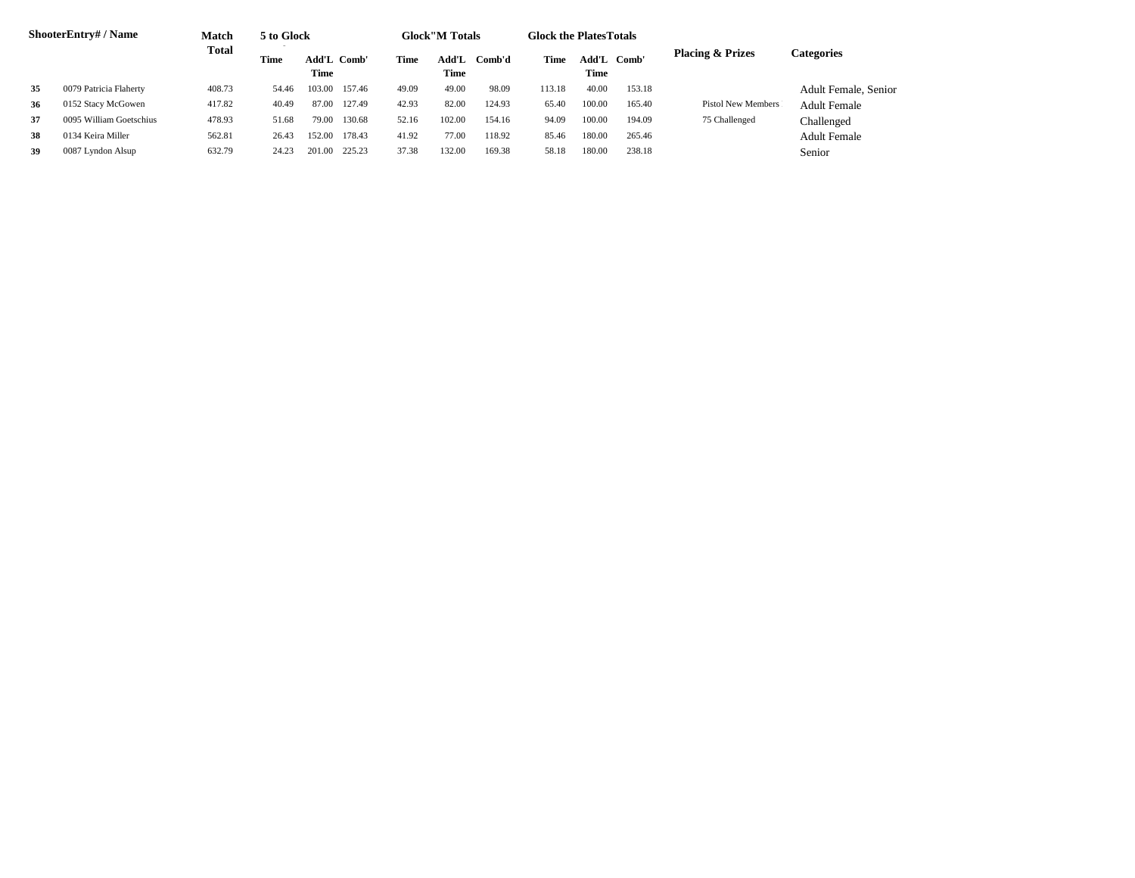| <b>ShooterEntry#/Name</b> |                         | <b>Match</b> | 5 to Glock |                     |        |       | <b>Glock</b> "M Totals |        | <b>Glock the PlatesTotals</b> |        |             |                             |                             |
|---------------------------|-------------------------|--------------|------------|---------------------|--------|-------|------------------------|--------|-------------------------------|--------|-------------|-----------------------------|-----------------------------|
|                           |                         | Total        | Time       | Add'L Comb'<br>Time |        | Time  | Add'L<br>Time          | Comb'd | Time                          | Time   | Add'L Comb' | <b>Placing &amp; Prizes</b> | <b>Categories</b>           |
| 35                        | 0079 Patricia Flaherty  | 408.73       | 54.46      | 103.00              | 157.46 | 49.09 | 49.00                  | 98.09  | 113.18                        | 40.00  | 153.18      |                             | <b>Adult Female, Senior</b> |
| 36                        | 0152 Stacy McGowen      | 417.82       | 40.49      | 87.00               | 127.49 | 42.93 | 82.00                  | 124.93 | 65.40                         | 100.00 | 165.40      | <b>Pistol New Members</b>   | <b>Adult Female</b>         |
| 37                        | 0095 William Goetschius | 478.93       | 51.68      | 79.00               | 130.68 | 52.16 | 102.00                 | 154.16 | 94.09                         | 100.00 | 194.09      | 75 Challenged               | Challenged                  |
| 38                        | 0134 Keira Miller       | 562.81       | 26.43      | 152.00              | 178.43 | 41.92 | 77.00                  | 118.92 | 85.46                         | 180.00 | 265.46      |                             | <b>Adult Female</b>         |
| 39                        | 0087 Lyndon Alsup       | 632.79       | 24.23      | 201.00              | 225.23 | 37.38 | 132.00                 | 169.38 | 58.18                         | 180.00 | 238.18      |                             | Senior                      |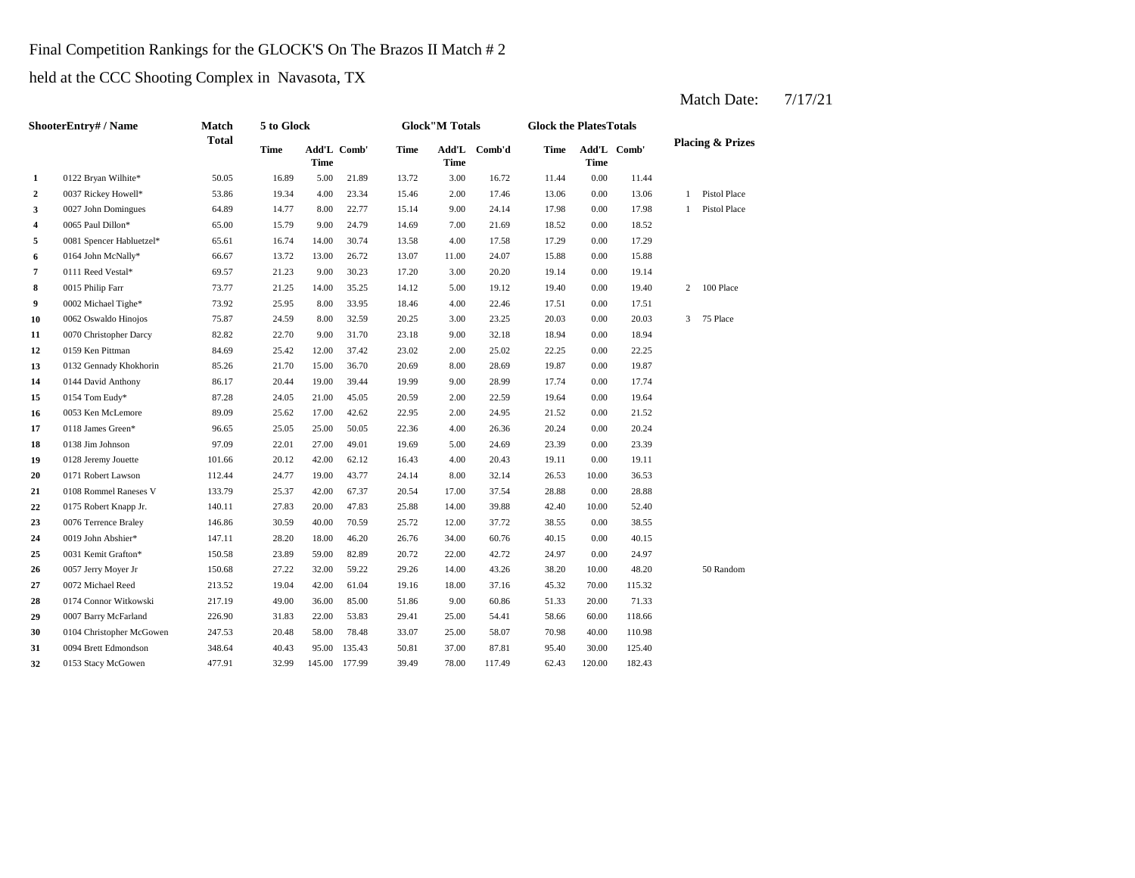Final Competition Rankings for the GLOCK'S On The Brazos II Match # 2

held at the CCC Shooting Complex in Navasota, TX

 2.00 13.06 0037 Rickey Howell\* 53.86 19.34 4.00 23.34 15.46 17.46 0.00 13.06 1 Pistol Place 9.027 John Domingues 64.89 14.77 8.00 22.77 15.14 9.00 24.14 17.98 0.00 17.98 1 Pistol Place 0065 Paul Dillon\* 65.00 15.79 9.00 24.79 14.69 7.00 21.69 18.52 0081 Spencer Habluetzel\* 65.61 16.74 14.00 30.74 13.58 4.00 17.58 17.29 0.00 17.29 0164 John McNally\* 66.67 13.72 13.00 26.72 13.07 11.00 24.07 15.88 0.00 15.88 0111 Reed Vestal\* 69.57 21.23 9.00 30.23 17.20 3.00 20.20 19.14 0.00 19.14 **8 5.00 19.12 14.00 19.12 14.00 55.25 14.12 19.12 19.40**  0002 Michael Tighe\* 73.92 25.95 8.00 33.95 18.46 4.00 22.46 17.51 0.00 17.51 0062 Oswaldo Hinojos **75.87** 24.59 8.00 32.59 20.25 3.00 23.25 20.03 0.00 20.03 3 75 Place 0070 Christopher Darcy 82.82 22.70 9.00 31.70 23.18 9.00 32.18 18.94 0.00 18.94 2.00 22.25 0159 Ken Pittman 84.69 25.42 12.00 37.42 23.02 25.02 0.00 22.25 8.00 19.87 0132 Gennady Khokhorin 85.26 21.70 15.00 36.70 20.69 28.69 0.00 19.87 0144 David Anthony 86.17 20.44 19.00 39.44 19.99 9.00 28.99 17.74 0.00 17.74 **0154 Tom Eudy\* 87.28 24.05 21.00 45.05 20.59 2.00 22.59 19.64**  25.52 17.00 42.62 2.95 2.00 24.52 2.1.52 0.00 21.52 0118 James Green\* 96.65 25.05 25.00 50.05 22.36 4.00 26.36 20.24 0.00 20.24 0138 Jim Johnson 97.09 22.01 27.00 49.01 19.69 5.00 24.69 23.39 0.00 23.39 0128 Jeremy Jouette 101.66 20.12 42.00 62.12 16.43 4.00 20.43 19.11 0.00 19.11 0171 Robert Lawson 112.44 24.77 19.00 43.77 24.14 8.00 32.14 26.53 10.00 36.53 17.00 28.88 0108 Rommel Raneses V 133.79 25.37 42.00 67.37 20.54 37.54 0.00 28.88 22 0175 Robert Knapp Jr. 140.11 27.83 20.00 47.83 25.88 14.00 39.88 42.40 10.00 52.40 0076 Terrence Braley 146.86 30.59 40.00 70.59 25.72 12.00 37.72 38.55 0.00 38.55 34.00 40.15 0019 John Abshier\* 147.11 28.20 18.00 46.20 26.76 60.76 0.00 40.15 22.00 24.97 0031 Kemit Grafton\* 150.58 23.89 59.00 82.89 20.72 42.72 0.00 24.97 14.00 38.20 0057 Jerry Moyer Jr 150.68 27.22 32.00 59.22 29.26 43.26 10.00 48.20 50 Random 0072 Michael Reed 213.52 19.04 42.00 61.04 19.16 18.00 37.16 45.32 70.00 115.32 0174 Connor Witkowski 217.19 49.00 36.00 85.00 51.86 9.00 60.86 51.33 20.00 71.33 29 0007 Barry McFarland 226.90 31.83 22.00 53.83 29.41 25.00 54.41 58.66 60.00 118.66 0104 Christopher McGowen 247.53 20.48 58.00 78.48 33.07 25.00 58.07 70.98 40.00 110.98 0094 Brett Edmondson 348.64 40.43 95.00 135.43 50.81 37.00 87.81 95.40 30.00 125.40 78.00 62.43 0153 Stacy McGowen 477.91 32.99 145.00 177.99 39.49 117.49 120.00 182.43**ShooterEntry# / Name Match Total 5 to Glock Time Glock"M Totals Glock the PlatesTotals Placing & Prizes Time Add'L Time** Add'L Comb' **Time Add'L Comb'd Time Add'L Time Time** Add'L Comb' 0122 Bryan Wilhite\* 50.05 16.89 5.00 21.89 13.72 3.00 16.72 11.44 0.00 11.44 0065 Paul Dillon\* 65.00 15.79 9.00 24.79 14.69 7.00 21.69 18.52 0.00 18.52 0015 Philip Farr **73.77** 21.25 14.00 35.25 14.12 5.00 19.12 19.40 0.00 19.40 2 100 Place 0154 Tom Eudy\* 87.28 24.05 21.00 45.05 20.59 22.59 0.00 19.64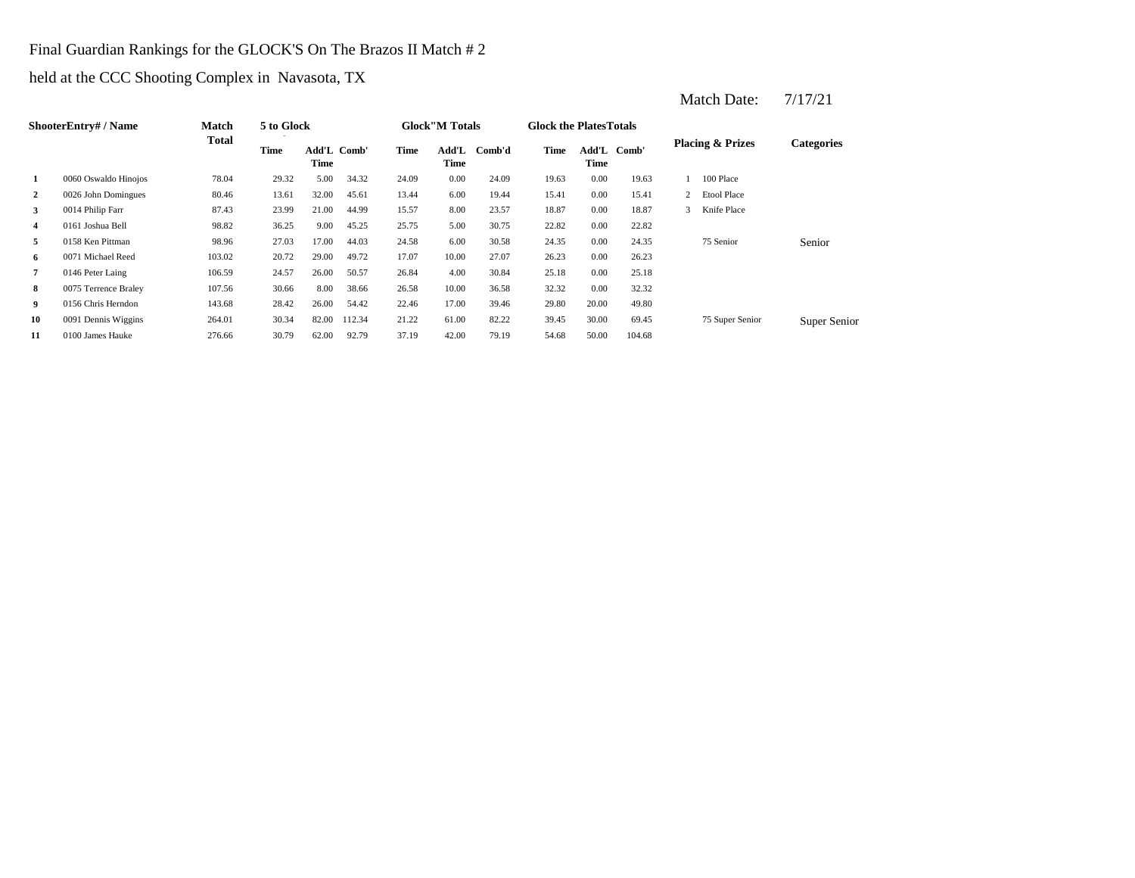Final Guardian Rankings for the GLOCK'S On The Brazos II Match # 2

held at the CCC Shooting Complex in Navasota, TX

| <b>ShooterEntry# / Name</b> |                      | Match        | 5 to Glock |                            |        |       | <b>Glock</b> "M Totals |        | <b>Glock the Plates Totals</b> |               |        |   |                             |                   |
|-----------------------------|----------------------|--------------|------------|----------------------------|--------|-------|------------------------|--------|--------------------------------|---------------|--------|---|-----------------------------|-------------------|
|                             |                      | <b>Total</b> | Time       | <b>Add'L Comb'</b><br>Time |        | Time  | Add'L<br>Time          | Comb'd | Time                           | Add'L<br>Time | Comb'  |   | <b>Placing &amp; Prizes</b> | <b>Categories</b> |
| -1                          | 0060 Oswaldo Hinojos | 78.04        | 29.32      | 5.00                       | 34.32  | 24.09 | 0.00                   | 24.09  | 19.63                          | 0.00          | 19.63  |   | 100 Place                   |                   |
| $\overline{2}$              | 0026 John Domingues  | 80.46        | 13.61      | 32.00                      | 45.61  | 13.44 | 6.00                   | 19.44  | 15.41                          | 0.00          | 15.41  |   | <b>Etool Place</b>          |                   |
| 3                           | 0014 Philip Farr     | 87.43        | 23.99      | 21.00                      | 44.99  | 15.57 | 8.00                   | 23.57  | 18.87                          | 0.00          | 18.87  | 3 | Knife Place                 |                   |
| 4                           | 0161 Joshua Bell     | 98.82        | 36.25      | 9.00                       | 45.25  | 25.75 | 5.00                   | 30.75  | 22.82                          | 0.00          | 22.82  |   |                             |                   |
| 5                           | 0158 Ken Pittman     | 98.96        | 27.03      | 17.00                      | 44.03  | 24.58 | 6.00                   | 30.58  | 24.35                          | 0.00          | 24.35  |   | 75 Senior                   | Senior            |
| 6                           | 0071 Michael Reed    | 103.02       | 20.72      | 29.00                      | 49.72  | 17.07 | 10.00                  | 27.07  | 26.23                          | 0.00          | 26.23  |   |                             |                   |
| $\overline{7}$              | 0146 Peter Laing     | 106.59       | 24.57      | 26.00                      | 50.57  | 26.84 | 4.00                   | 30.84  | 25.18                          | 0.00          | 25.18  |   |                             |                   |
| 8                           | 0075 Terrence Braley | 107.56       | 30.66      | 8.00                       | 38.66  | 26.58 | 10.00                  | 36.58  | 32.32                          | 0.00          | 32.32  |   |                             |                   |
| 9                           | 0156 Chris Herndon   | 143.68       | 28.42      | 26.00                      | 54.42  | 22.46 | 17.00                  | 39.46  | 29.80                          | 20.00         | 49.80  |   |                             |                   |
| 10                          | 0091 Dennis Wiggins  | 264.01       | 30.34      | 82.00                      | 112.34 | 21.22 | 61.00                  | 82.22  | 39.45                          | 30.00         | 69.45  |   | 75 Super Senior             | Super Senior      |
| 11                          | 0100 James Hauke     | 276.66       | 30.79      | 62.00                      | 92.79  | 37.19 | 42.00                  | 79.19  | 54.68                          | 50.00         | 104.68 |   |                             |                   |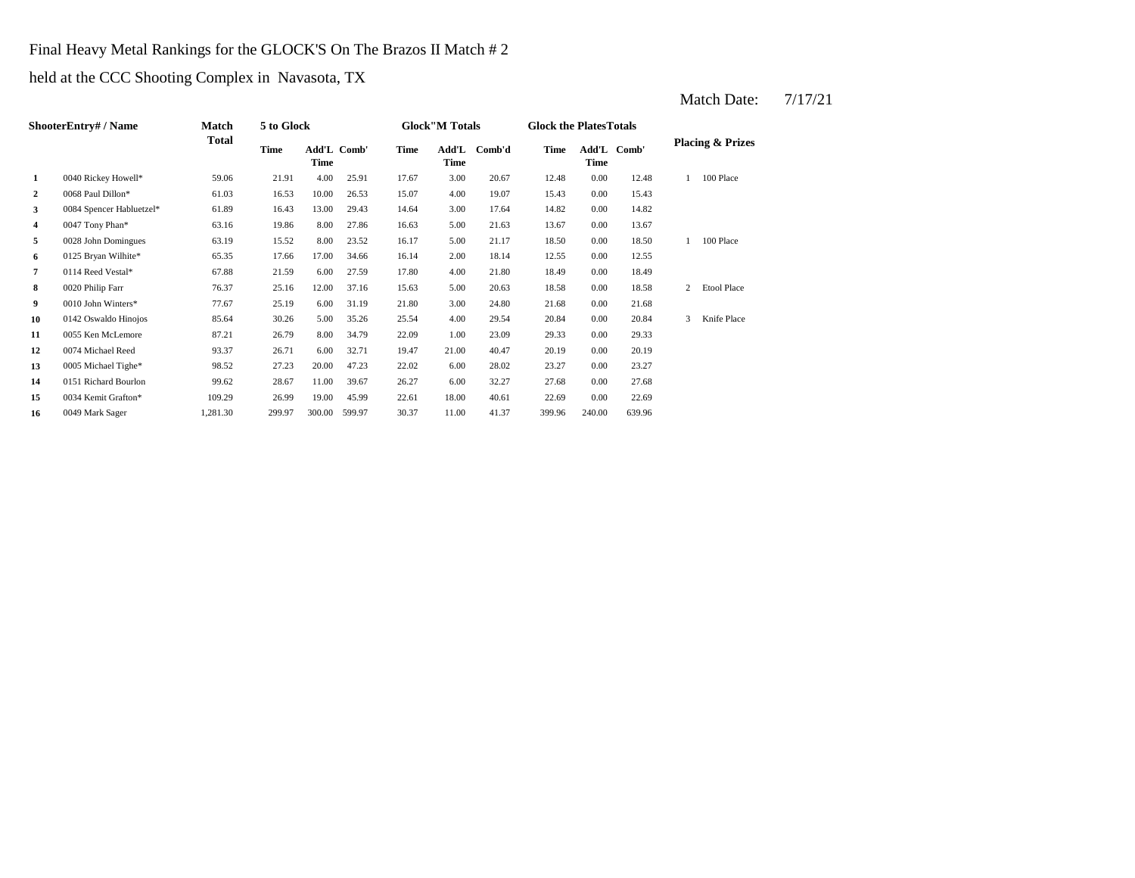Final Heavy Metal Rankings for the GLOCK'S On The Brazos II Match # 2

held at the CCC Shooting Complex in Navasota, TX

|                  | ShooterEntry# / Name     | Match        | 5 to Glock |                            |        |       | <b>Glock</b> "M Totals |        | <b>Glock the PlatesTotals</b> |               |        |   |                             |
|------------------|--------------------------|--------------|------------|----------------------------|--------|-------|------------------------|--------|-------------------------------|---------------|--------|---|-----------------------------|
|                  |                          | <b>Total</b> | Time       | Add'L Comb'<br><b>Time</b> |        | Time  | Add'L<br>Time          | Comb'd | Time                          | Add'L<br>Time | Comb'  |   | <b>Placing &amp; Prizes</b> |
| 1                | 0040 Rickey Howell*      | 59.06        | 21.91      | 4.00                       | 25.91  | 17.67 | 3.00                   | 20.67  | 12.48                         | 0.00          | 12.48  |   | 100 Place                   |
| $\boldsymbol{2}$ | 0068 Paul Dillon*        | 61.03        | 16.53      | 10.00                      | 26.53  | 15.07 | 4.00                   | 19.07  | 15.43                         | 0.00          | 15.43  |   |                             |
| 3                | 0084 Spencer Habluetzel* | 61.89        | 16.43      | 13.00                      | 29.43  | 14.64 | 3.00                   | 17.64  | 14.82                         | 0.00          | 14.82  |   |                             |
| 4                | 0047 Tony Phan*          | 63.16        | 19.86      | 8.00                       | 27.86  | 16.63 | 5.00                   | 21.63  | 13.67                         | 0.00          | 13.67  |   |                             |
| 5                | 0028 John Domingues      | 63.19        | 15.52      | 8.00                       | 23.52  | 16.17 | 5.00                   | 21.17  | 18.50                         | 0.00          | 18.50  |   | 100 Place                   |
| 6                | 0125 Bryan Wilhite*      | 65.35        | 17.66      | 17.00                      | 34.66  | 16.14 | 2.00                   | 18.14  | 12.55                         | 0.00          | 12.55  |   |                             |
| 7                | 0114 Reed Vestal*        | 67.88        | 21.59      | 6.00                       | 27.59  | 17.80 | 4.00                   | 21.80  | 18.49                         | 0.00          | 18.49  |   |                             |
| 8                | 0020 Philip Farr         | 76.37        | 25.16      | 12.00                      | 37.16  | 15.63 | 5.00                   | 20.63  | 18.58                         | 0.00          | 18.58  | 2 | <b>Etool Place</b>          |
| 9                | 0010 John Winters*       | 77.67        | 25.19      | 6.00                       | 31.19  | 21.80 | 3.00                   | 24.80  | 21.68                         | 0.00          | 21.68  |   |                             |
| 10               | 0142 Oswaldo Hinojos     | 85.64        | 30.26      | 5.00                       | 35.26  | 25.54 | 4.00                   | 29.54  | 20.84                         | 0.00          | 20.84  | 3 | Knife Place                 |
| 11               | 0055 Ken McLemore        | 87.21        | 26.79      | 8.00                       | 34.79  | 22.09 | 1.00                   | 23.09  | 29.33                         | 0.00          | 29.33  |   |                             |
| 12               | 0074 Michael Reed        | 93.37        | 26.71      | 6.00                       | 32.71  | 19.47 | 21.00                  | 40.47  | 20.19                         | 0.00          | 20.19  |   |                             |
| 13               | 0005 Michael Tighe*      | 98.52        | 27.23      | 20.00                      | 47.23  | 22.02 | 6.00                   | 28.02  | 23.27                         | 0.00          | 23.27  |   |                             |
| 14               | 0151 Richard Bourlon     | 99.62        | 28.67      | 11.00                      | 39.67  | 26.27 | 6.00                   | 32.27  | 27.68                         | 0.00          | 27.68  |   |                             |
| 15               | 0034 Kemit Grafton*      | 109.29       | 26.99      | 19.00                      | 45.99  | 22.61 | 18.00                  | 40.61  | 22.69                         | 0.00          | 22.69  |   |                             |
| 16               | 0049 Mark Sager          | 1,281.30     | 299.97     | 300.00                     | 599.97 | 30.37 | 11.00                  | 41.37  | 399.96                        | 240.00        | 639.96 |   |                             |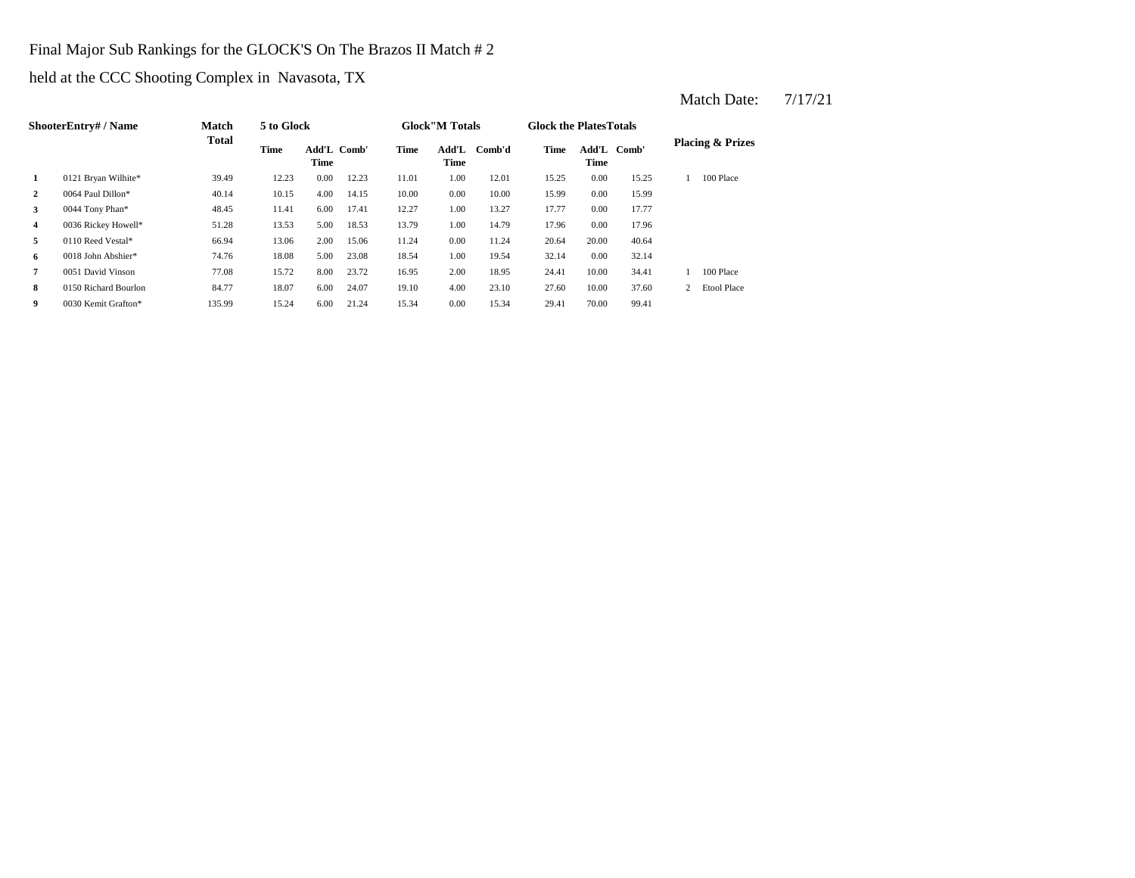Final Major Sub Rankings for the GLOCK'S On The Brazos II Match # 2

held at the CCC Shooting Complex in Navasota, TX

| <b>ShooterEntry# / Name</b> |                      | <b>Match</b> | 5 to Glock |                            |       |             | <b>Glock</b> "M Totals |        | <b>Glock the PlatesTotals</b> |                            |       |                             |
|-----------------------------|----------------------|--------------|------------|----------------------------|-------|-------------|------------------------|--------|-------------------------------|----------------------------|-------|-----------------------------|
|                             |                      | <b>Total</b> | Time       | <b>Add'L Comb'</b><br>Time |       | <b>Time</b> | Add'L<br>Time          | Comb'd | Time                          | Add'L Comb'<br><b>Time</b> |       | <b>Placing &amp; Prizes</b> |
| 1                           | 0121 Bryan Wilhite*  | 39.49        | 12.23      | 0.00                       | 12.23 | 11.01       | 1.00                   | 12.01  | 15.25                         | 0.00                       | 15.25 | 100 Place                   |
| $\overline{2}$              | 0064 Paul Dillon*    | 40.14        | 10.15      | 4.00                       | 14.15 | 10.00       | 0.00                   | 10.00  | 15.99                         | 0.00                       | 15.99 |                             |
| 3                           | 0044 Tony Phan*      | 48.45        | 11.41      | 6.00                       | 17.41 | 12.27       | 1.00                   | 13.27  | 17.77                         | 0.00                       | 17.77 |                             |
| $\overline{4}$              | 0036 Rickey Howell*  | 51.28        | 13.53      | 5.00                       | 18.53 | 13.79       | 1.00                   | 14.79  | 17.96                         | 0.00                       | 17.96 |                             |
| 5                           | 0110 Reed Vestal*    | 66.94        | 13.06      | 2.00                       | 15.06 | 11.24       | 0.00                   | 11.24  | 20.64                         | 20.00                      | 40.64 |                             |
| 6                           | 0018 John Abshier*   | 74.76        | 18.08      | 5.00                       | 23.08 | 18.54       | 1.00                   | 19.54  | 32.14                         | 0.00                       | 32.14 |                             |
| 7                           | 0051 David Vinson    | 77.08        | 15.72      | 8.00                       | 23.72 | 16.95       | 2.00                   | 18.95  | 24.41                         | 10.00                      | 34.41 | 100 Place                   |
| 8                           | 0150 Richard Bourlon | 84.77        | 18.07      | 6.00                       | 24.07 | 19.10       | 4.00                   | 23.10  | 27.60                         | 10.00                      | 37.60 | <b>Etool Place</b>          |
| 9                           | 0030 Kemit Grafton*  | 135.99       | 15.24      | 6.00                       | 21.24 | 15.34       | 0.00                   | 15.34  | 29.41                         | 70.00                      | 99.41 |                             |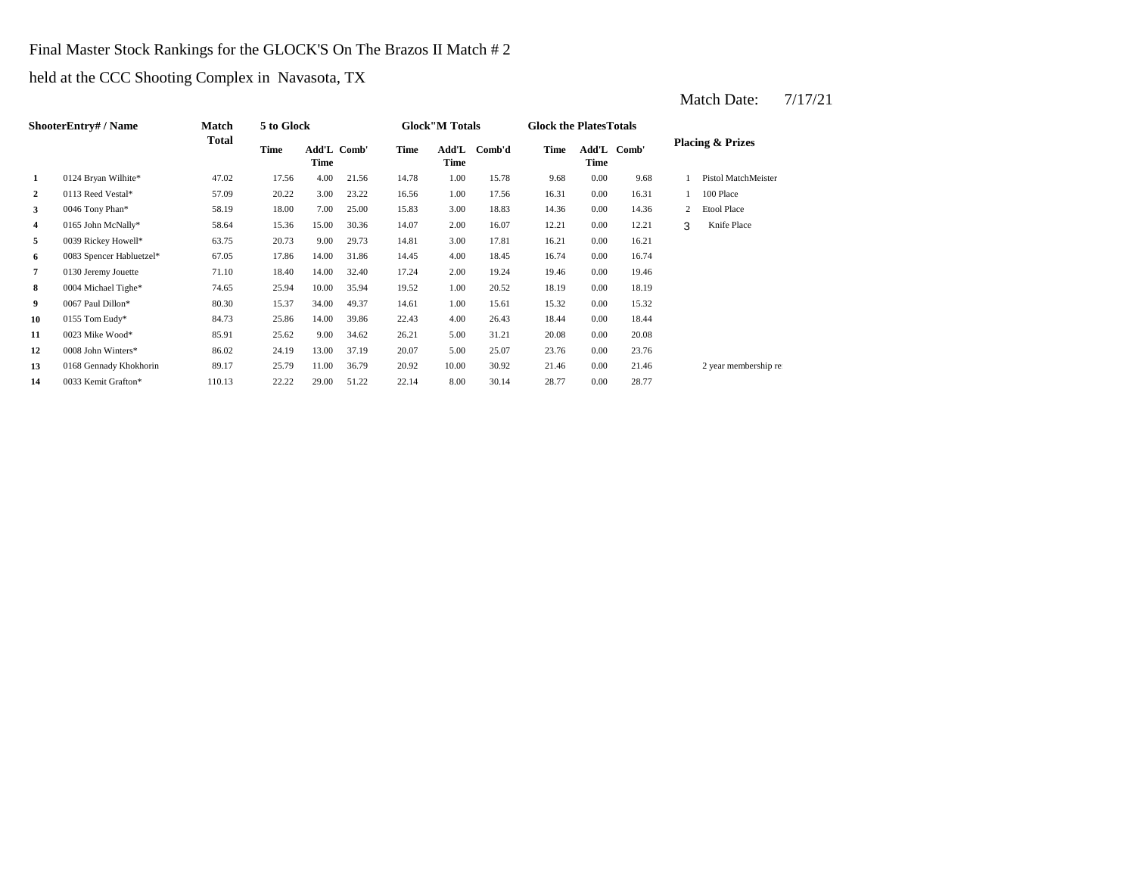Final Master Stock Rankings for the GLOCK'S On The Brazos II Match # 2

held at the CCC Shooting Complex in Navasota, TX

| <b>ShooterEntry# / Name</b> |                          | Match  | 5 to Glock |                            |       |       | <b>Glock</b> "M Totals |        | <b>Glock the Plates Totals</b> |               |       |   |                             |
|-----------------------------|--------------------------|--------|------------|----------------------------|-------|-------|------------------------|--------|--------------------------------|---------------|-------|---|-----------------------------|
|                             |                          | Total  | Time       | Add'L Comb'<br><b>Time</b> |       | Time  | Add'L<br>Time          | Comb'd | <b>Time</b>                    | Add'L<br>Time | Comb' |   | <b>Placing &amp; Prizes</b> |
| 1                           | 0124 Bryan Wilhite*      | 47.02  | 17.56      | 4.00                       | 21.56 | 14.78 | 1.00                   | 15.78  | 9.68                           | 0.00          | 9.68  |   | Pistol MatchMeister         |
| 2                           | 0113 Reed Vestal*        | 57.09  | 20.22      | 3.00                       | 23.22 | 16.56 | 1.00                   | 17.56  | 16.31                          | 0.00          | 16.31 |   | 100 Place                   |
| 3                           | 0046 Tony Phan*          | 58.19  | 18.00      | 7.00                       | 25.00 | 15.83 | 3.00                   | 18.83  | 14.36                          | 0.00          | 14.36 |   | Etool Place                 |
| 4                           | 0165 John McNally*       | 58.64  | 15.36      | 15.00                      | 30.36 | 14.07 | 2.00                   | 16.07  | 12.21                          | 0.00          | 12.21 | 3 | Knife Place                 |
| 5                           | 0039 Rickey Howell*      | 63.75  | 20.73      | 9.00                       | 29.73 | 14.81 | 3.00                   | 17.81  | 16.21                          | 0.00          | 16.21 |   |                             |
| 6                           | 0083 Spencer Habluetzel* | 67.05  | 17.86      | 14.00                      | 31.86 | 14.45 | 4.00                   | 18.45  | 16.74                          | 0.00          | 16.74 |   |                             |
| 7                           | 0130 Jeremy Jouette      | 71.10  | 18.40      | 14.00                      | 32.40 | 17.24 | 2.00                   | 19.24  | 19.46                          | 0.00          | 19.46 |   |                             |
| 8                           | 0004 Michael Tighe*      | 74.65  | 25.94      | 10.00                      | 35.94 | 19.52 | 1.00                   | 20.52  | 18.19                          | 0.00          | 18.19 |   |                             |
| 9                           | 0067 Paul Dillon*        | 80.30  | 15.37      | 34.00                      | 49.37 | 14.61 | 1.00                   | 15.61  | 15.32                          | 0.00          | 15.32 |   |                             |
| 10                          | 0155 Tom Eudy*           | 84.73  | 25.86      | 14.00                      | 39.86 | 22.43 | 4.00                   | 26.43  | 18.44                          | 0.00          | 18.44 |   |                             |
| 11                          | 0023 Mike Wood*          | 85.91  | 25.62      | 9.00                       | 34.62 | 26.21 | 5.00                   | 31.21  | 20.08                          | 0.00          | 20.08 |   |                             |
| 12                          | 0008 John Winters*       | 86.02  | 24.19      | 13.00                      | 37.19 | 20.07 | 5.00                   | 25.07  | 23.76                          | 0.00          | 23.76 |   |                             |
| 13                          | 0168 Gennady Khokhorin   | 89.17  | 25.79      | 11.00                      | 36.79 | 20.92 | 10.00                  | 30.92  | 21.46                          | 0.00          | 21.46 |   | 2 year membership re        |
| 14                          | 0033 Kemit Grafton*      | 110.13 | 22.22      | 29.00                      | 51.22 | 22.14 | 8.00                   | 30.14  | 28.77                          | 0.00          | 28.77 |   |                             |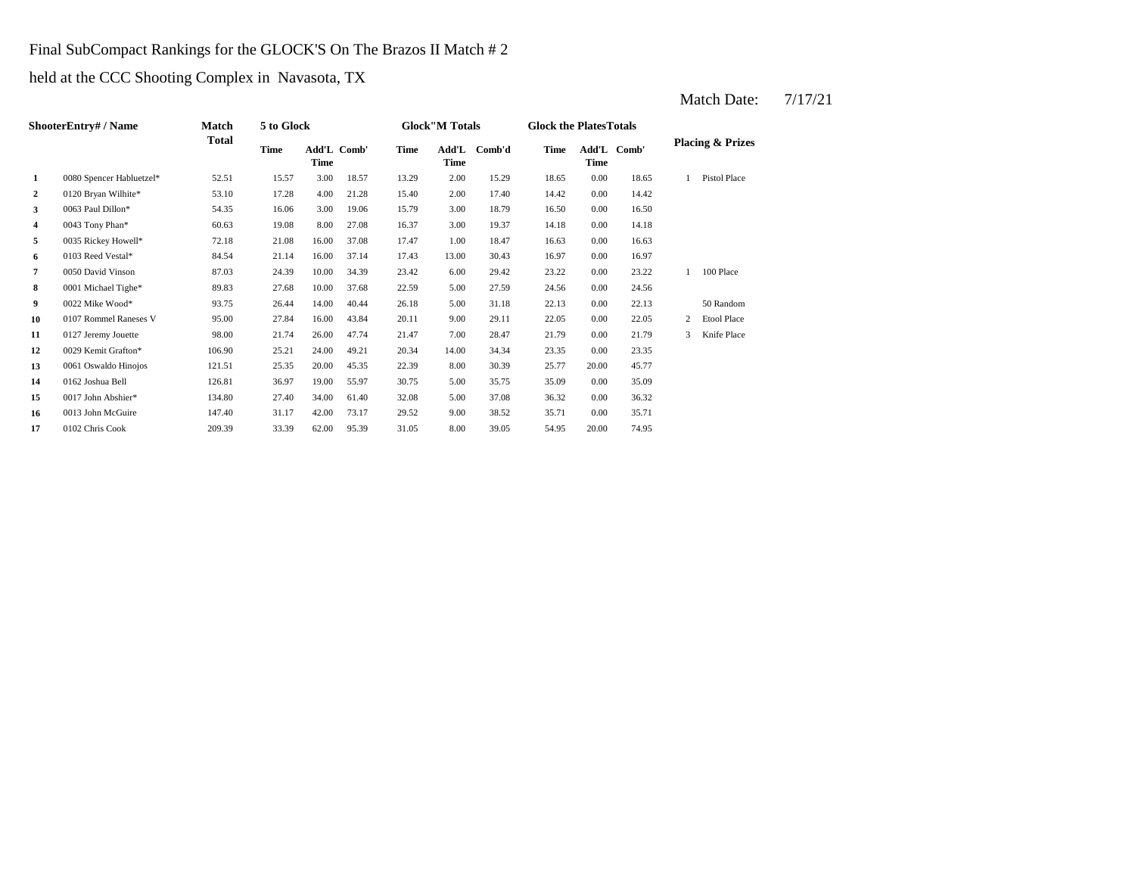Final SubCompact Rankings for the GLOCK'S On The Brazos II Match # 2

held at the CCC Shooting Complex in Navasota, TX

|                  | <b>ShooterEntry# / Name</b> | Match  | 5 to Glock |             |             |             | <b>Glock</b> "M Totals |              | <b>Glock the PlatesTotals</b> |             |             |                |                             |
|------------------|-----------------------------|--------|------------|-------------|-------------|-------------|------------------------|--------------|-------------------------------|-------------|-------------|----------------|-----------------------------|
|                  |                             | Total  | Time       | <b>Time</b> | Add'L Comb' | <b>Time</b> | Time                   | Add'L Comb'd | <b>Time</b>                   | <b>Time</b> | Add'L Comb' |                | <b>Placing &amp; Prizes</b> |
| $\mathbf{1}$     | 0080 Spencer Habluetzel*    | 52.51  | 15.57      | 3.00        | 18.57       | 13.29       | 2.00                   | 15.29        | 18.65                         | 0.00        | 18.65       | $\mathbf{1}$   | <b>Pistol Place</b>         |
| $\boldsymbol{2}$ | 0120 Bryan Wilhite*         | 53.10  | 17.28      | 4.00        | 21.28       | 15.40       | 2.00                   | 17.40        | 14.42                         | 0.00        | 14.42       |                |                             |
| 3                | 0063 Paul Dillon*           | 54.35  | 16.06      | 3.00        | 19.06       | 15.79       | 3.00                   | 18.79        | 16.50                         | 0.00        | 16.50       |                |                             |
| 4                | 0043 Tony Phan*             | 60.63  | 19.08      | 8.00        | 27.08       | 16.37       | 3.00                   | 19.37        | 14.18                         | 0.00        | 14.18       |                |                             |
| 5                | 0035 Rickey Howell*         | 72.18  | 21.08      | 16.00       | 37.08       | 17.47       | 1.00                   | 18.47        | 16.63                         | 0.00        | 16.63       |                |                             |
| 6                | 0103 Reed Vestal*           | 84.54  | 21.14      | 16.00       | 37.14       | 17.43       | 13.00                  | 30.43        | 16.97                         | 0.00        | 16.97       |                |                             |
| 7                | 0050 David Vinson           | 87.03  | 24.39      | 10.00       | 34.39       | 23.42       | 6.00                   | 29.42        | 23.22                         | 0.00        | 23.22       | $\mathbf{1}$   | 100 Place                   |
| 8                | 0001 Michael Tighe*         | 89.83  | 27.68      | 10.00       | 37.68       | 22.59       | 5.00                   | 27.59        | 24.56                         | 0.00        | 24.56       |                |                             |
| 9                | 0022 Mike Wood*             | 93.75  | 26.44      | 14.00       | 40.44       | 26.18       | 5.00                   | 31.18        | 22.13                         | 0.00        | 22.13       |                | 50 Random                   |
| 10               | 0107 Rommel Raneses V       | 95.00  | 27.84      | 16.00       | 43.84       | 20.11       | 9.00                   | 29.11        | 22.05                         | 0.00        | 22.05       | $\overline{2}$ | <b>Etool Place</b>          |
| 11               | 0127 Jeremy Jouette         | 98.00  | 21.74      | 26.00       | 47.74       | 21.47       | 7.00                   | 28.47        | 21.79                         | 0.00        | 21.79       | 3              | Knife Place                 |
| 12               | 0029 Kemit Grafton*         | 106.90 | 25.21      | 24.00       | 49.21       | 20.34       | 14.00                  | 34.34        | 23.35                         | 0.00        | 23.35       |                |                             |
| 13               | 0061 Oswaldo Hinojos        | 121.51 | 25.35      | 20.00       | 45.35       | 22.39       | 8.00                   | 30.39        | 25.77                         | 20.00       | 45.77       |                |                             |
| 14               | 0162 Joshua Bell            | 126.81 | 36.97      | 19.00       | 55.97       | 30.75       | 5.00                   | 35.75        | 35.09                         | 0.00        | 35.09       |                |                             |
| 15               | 0017 John Abshier*          | 134.80 | 27.40      | 34.00       | 61.40       | 32.08       | 5.00                   | 37.08        | 36.32                         | 0.00        | 36.32       |                |                             |
| 16               | 0013 John McGuire           | 147.40 | 31.17      | 42.00       | 73.17       | 29.52       | 9.00                   | 38.52        | 35.71                         | 0.00        | 35.71       |                |                             |
| 17               | 0102 Chris Cook             | 209.39 | 33.39      | 62.00       | 95.39       | 31.05       | 8.00                   | 39.05        | 54.95                         | 20.00       | 74.95       |                |                             |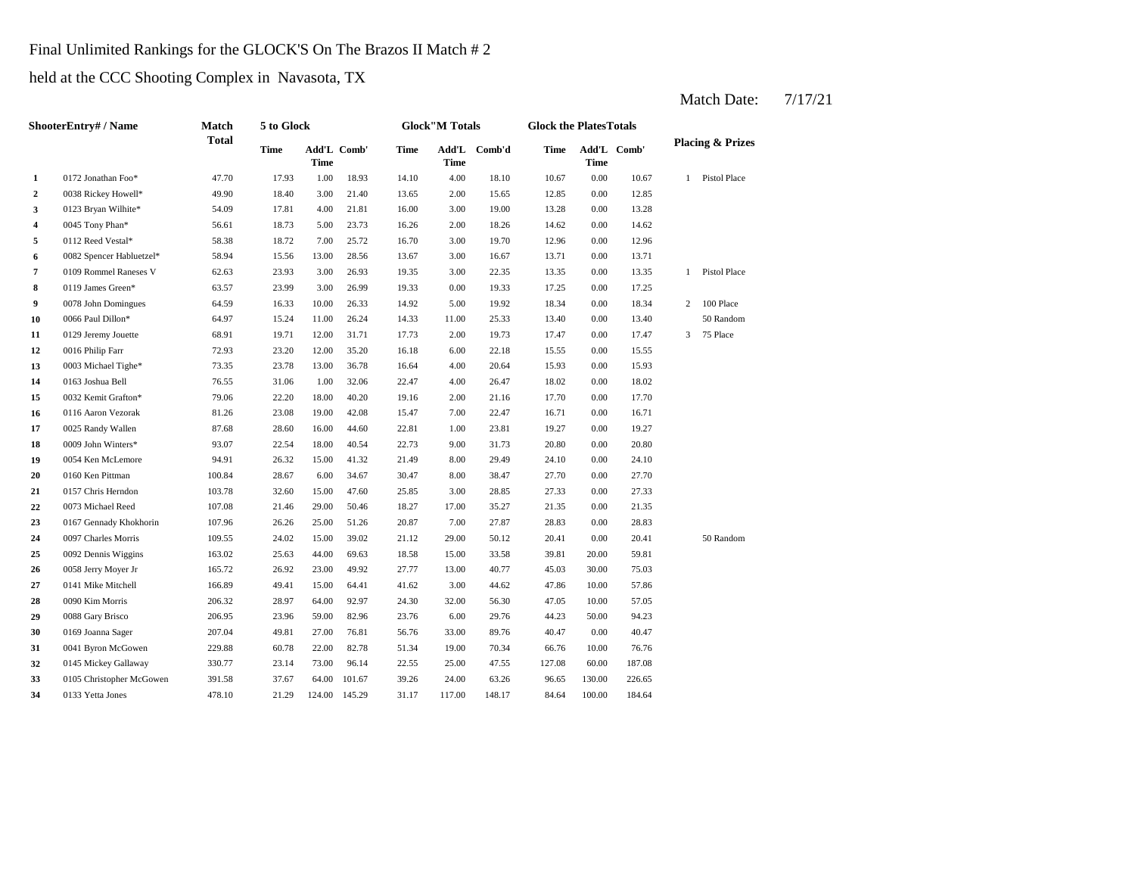Final Unlimited Rankings for the GLOCK'S On The Brazos II Match # 2

held at the CCC Shooting Complex in Navasota, TX

 2.00 12.85 0038 Rickey Howell\* 49.90 18.40 3.00 21.40 13.65 15.65 0.00 12.85 3 0123 Bryan Wilhite\* 54.09 17.81 4.00 21.81 16.00 3.00 19.00 13.28 0.00 13.28 0.045 Tony Phan\* 5.6.61 18.73 5.00 23.73 16.26 2.00 18.26 14.62  $0.112$  Reed Vestal\* **58.38 18.72 1.00 25.72 16.70 3.00 19.70 12.96**  0082 Spencer Habluetzel\* 58.94 15.56 13.00 28.56 13.67 3.00 16.67 13.71 0.00 13.71 3.00 13.35 0109 Rommel Raneses V 62.63 23.93 3.00 26.93 19.35 22.35 0.00 13.35 1 Pistol Place 0119 James Green\* 63.57 23.99 3.00 26.99 19.33 0.00 19.33 17.25 0.00 17.25 5.00 18.34 0078 John Domingues 64.59 16.33 10.00 26.33 14.92 19.92 0.00 18.34 2 100 Place 0066 Paul Dillon\* 64.97 **15.24 11.00 26.24 14.33 11.00 25.33 13.40**  2.00 17.47 0129 Jeremy Jouette 68.91 19.71 12.00 31.71 17.73 19.73 0.00 17.47 3 75 Place **10016** Philip Farr **12.93 12.00 12.00 13.20 16.18 12.00 16.18 15.55**  0003 Michael Tighe\* 73.35 23.78 13.00 36.78 16.64 4.00 20.64 15.93 0.00 15.93 0163 Joshua Bell **16.02** 16.55 11.06 1.00 32.06 22.47 4.00 26.47 18.02 2.00 17.70 0032 Kemit Grafton\* 79.06 22.20 18.00 40.20 19.16 21.16 0.00 17.70 0116 Aaron Vezorak 81.26 23.08 19.00 42.08 15.47 7.00 22.47 16.71 0.00 16.71 0025 Randy Wallen 87.68 28.60 16.00 44.60 22.81 1.00 23.81 19.27 0.00 19.27 **18 0009 John Winters\* 18.00 18.00 19.54 22.73 20.80 21.73 20.80**  8.00 29.49 **19** 8.00 24.10 **26.32 15.00 41.32 21.49 8.00 29.49 24.10 0.00 24.10**  0160 Ken Pittman 100.84 28.67 6.00 34.67 30.47 8.00 38.47 27.70 0.00 27.70 0157 Chris Herndon 103.78 32.60 15.00 47.60 25.85 3.00 28.85 27.33 0.00 27.33 17.00 21.35 0073 Michael Reed 107.08 21.46 29.00 50.46 18.27 35.27 0.00 21.35 7.00 28.83 0167 Gennady Khokhorin 107.96 26.26 25.00 51.26 20.87 27.87 0.00 28.83 **24 24 29.00 24.02 24.02 24.02 25.00 29.02 21.12 29.00 50.12 20.41**  15.00 39.81 0092 Dennis Wiggins 163.02 25.63 44.00 69.63 18.58 33.58 20.00 59.81 0058 Jerry Moyer Jr 165.72 26.92 23.00 49.92 27.77 13.00 40.77 45.03 30.00 75.03 3.00 47.86 0141 Mike Mitchell 166.89 49.41 15.00 64.41 41.62 44.62 10.00 57.86 32.00 47.05 0090 Kim Morris 206.32 28.97 64.00 92.97 24.30 56.30 10.00 57.05 6.00 44.23 0088 Gary Brisco 206.95 23.96 59.00 82.96 23.76 29.76 50.00 94.23 0169 Joanna Sager 207.04 49.81 27.00 76.81 56.76 33.00 89.76 40.47 0.00 40.47 0041 Byron McGowen 229.88 60.78 22.00 82.78 51.34 19.00 70.34 66.76 10.00 76.76 0145 Mickey Gallaway 330.77 23.14 73.00 96.14 22.55 25.00 47.55 127.08 60.00 187.08 0105 Christopher McGowen 391.58 37.67 64.00 101.67 39.26 24.00 63.26 96.65 130.00 226.65 117.00 148.17 84.64 12.12 12.29 124.00 145.29 31.17 117.00 148.17 84.64 **ShooterEntry# / Name Match Total 5 to Glock Time Glock"M Totals Glock the PlatesTotals Placing & Prizes Time Add'L Time** Add'L Comb' **Time Add'L Comb'd Time Add'L Time Time** Add'L Comb' 0172 Jonathan Foo\* 47.70 17.93 1.00 18.93 14.10 4.00 18.10 10.67 0.00 10.67 1 Pistol Place 0045 Tony Phan\* 56.61 18.73 5.00 23.73 16.26 2.00 18.26 14.62 0.00 14.62 0112 Reed Vestal\* 58.38 18.72 7.00 25.72 16.70 3.00 19.70 12.96 0.00 12.96 0066 Paul Dillon\* 64.97 15.24 11.00 26.24 14.33 11.00 25.33 13.40 0.00 13.40 50 Random 0016 Philip Farr 72.93 23.20 12.00 35.20 16.18 22.18 0.00 15.55 0163 Joshua Bell 76.55 31.06 1.00 32.06 22.47 26.47 0.00 18.02 0009 John Winters\* 83.07 22.54 18.00 40.54 22.73 9.00 31.73 20.80 0.00 20.80 0097 Charles Morris 109.55 24.02 15.00 39.02 21.12 29.00 50.12 20.41 0.00 20.41 50 Random 0133 Yetta Jones 478.10 21.29 124.00 145.29 31.17 117.00 148.17 84.64 100.00 184.64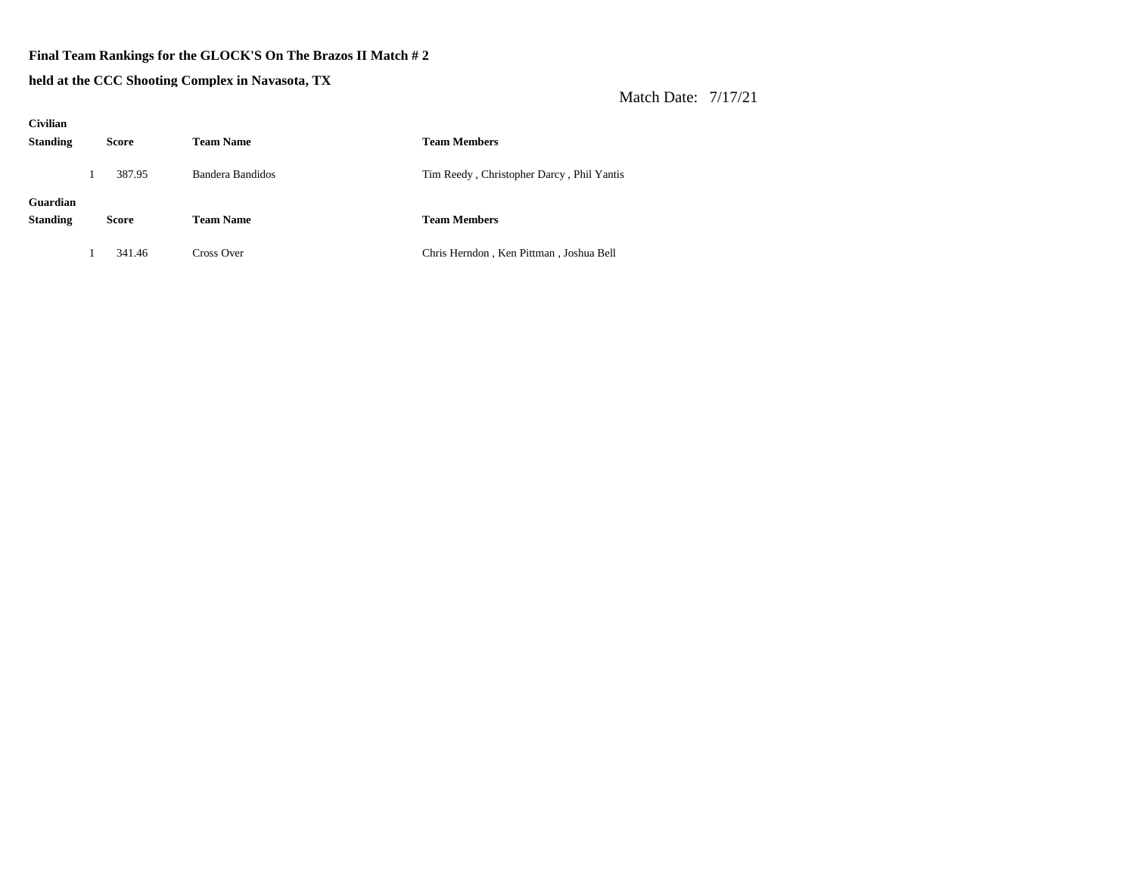#### **Final Team Rankings for the GLOCK'S On The Brazos II Match # 2**

**held at the CCC Shooting Complex in Navasota, TX**

| <b>Civilian</b>             |              |              |                  |                                           |
|-----------------------------|--------------|--------------|------------------|-------------------------------------------|
| <b>Standing</b>             |              | <b>Score</b> | <b>Team Name</b> | <b>Team Members</b>                       |
|                             |              | 387.95       | Bandera Bandidos | Tim Reedy, Christopher Darcy, Phil Yantis |
| Guardian<br><b>Standing</b> | <b>Score</b> |              | <b>Team Name</b> | <b>Team Members</b>                       |
|                             |              | 341.46       | Cross Over       | Chris Herndon, Ken Pittman, Joshua Bell   |